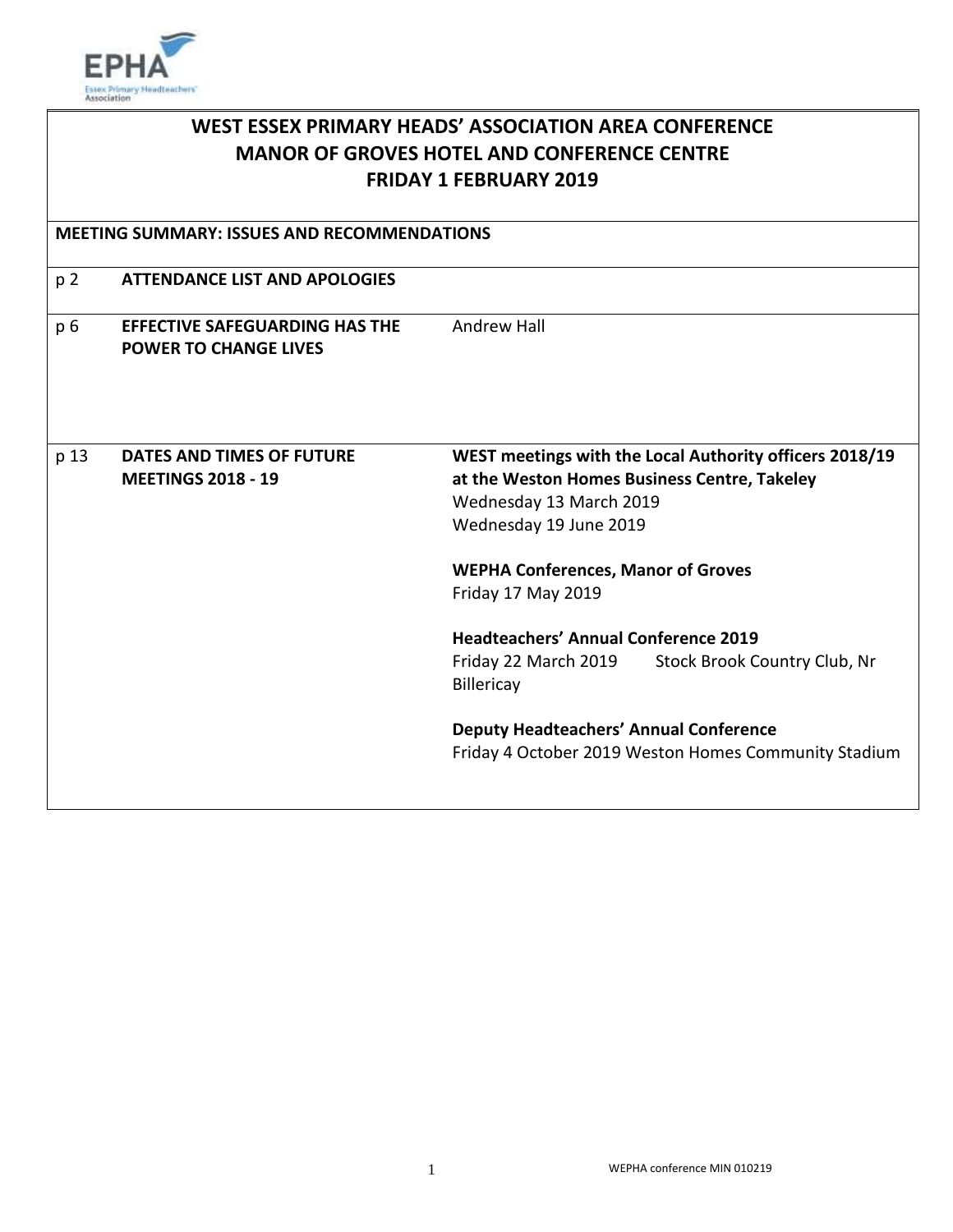

|                                                    | WEST ESSEX PRIMARY HEADS' ASSOCIATION AREA CONFERENCE<br><b>MANOR OF GROVES HOTEL AND CONFERENCE CENTRE</b><br><b>FRIDAY 1 FEBRUARY 2019</b> |                                                                                                                   |  |  |  |
|----------------------------------------------------|----------------------------------------------------------------------------------------------------------------------------------------------|-------------------------------------------------------------------------------------------------------------------|--|--|--|
| <b>MEETING SUMMARY: ISSUES AND RECOMMENDATIONS</b> |                                                                                                                                              |                                                                                                                   |  |  |  |
| p <sub>2</sub>                                     | <b>ATTENDANCE LIST AND APOLOGIES</b>                                                                                                         |                                                                                                                   |  |  |  |
| p6                                                 | <b>EFFECTIVE SAFEGUARDING HAS THE</b><br><b>POWER TO CHANGE LIVES</b>                                                                        | <b>Andrew Hall</b>                                                                                                |  |  |  |
| p 13                                               | DATES AND TIMES OF FUTURE                                                                                                                    | WEST meetings with the Local Authority officers 2018/19                                                           |  |  |  |
|                                                    | <b>MEETINGS 2018 - 19</b>                                                                                                                    | at the Weston Homes Business Centre, Takeley<br>Wednesday 13 March 2019                                           |  |  |  |
|                                                    |                                                                                                                                              | Wednesday 19 June 2019                                                                                            |  |  |  |
|                                                    |                                                                                                                                              | <b>WEPHA Conferences, Manor of Groves</b><br>Friday 17 May 2019                                                   |  |  |  |
|                                                    |                                                                                                                                              | <b>Headteachers' Annual Conference 2019</b><br>Friday 22 March 2019<br>Stock Brook Country Club, Nr<br>Billericay |  |  |  |
|                                                    |                                                                                                                                              | <b>Deputy Headteachers' Annual Conference</b><br>Friday 4 October 2019 Weston Homes Community Stadium             |  |  |  |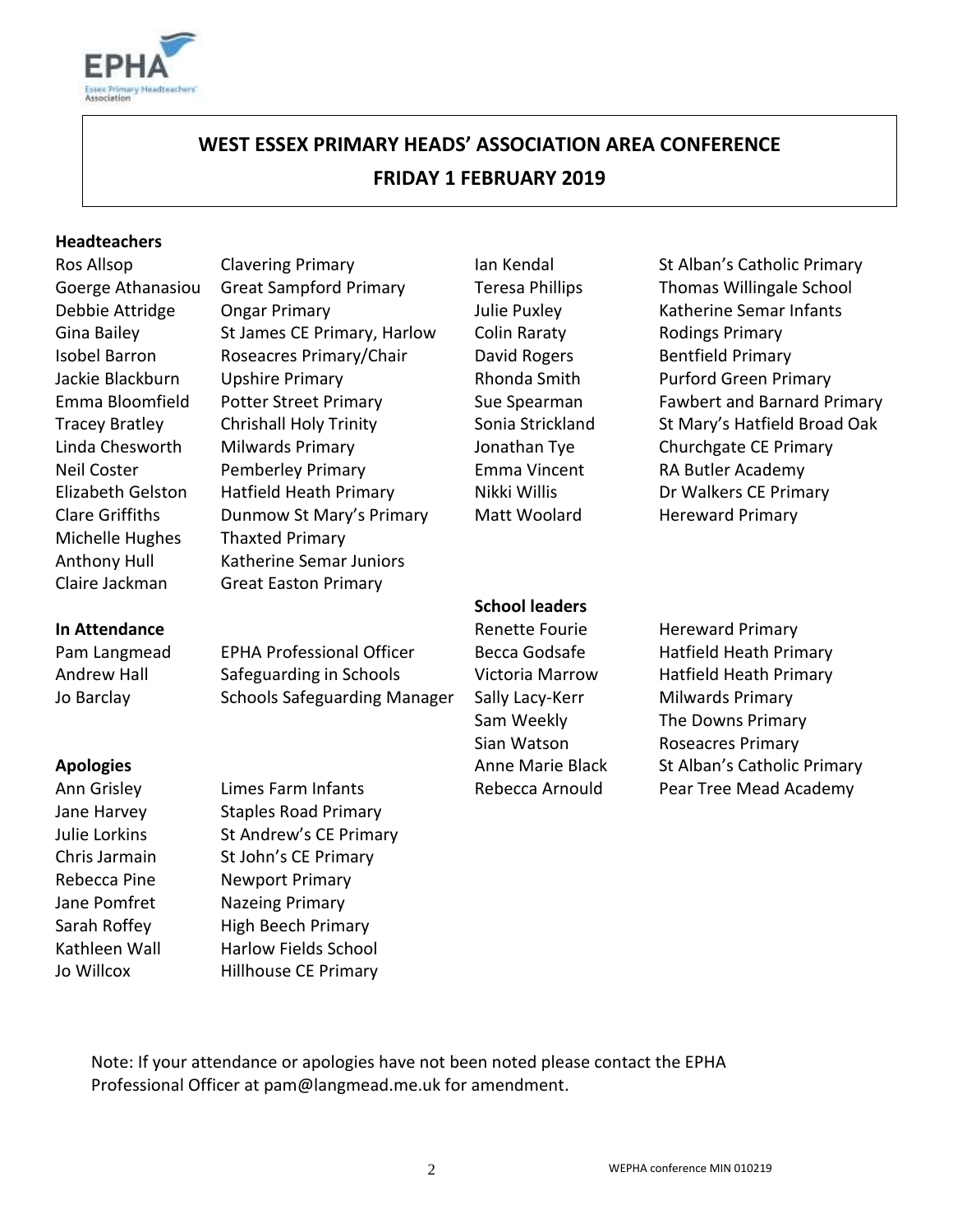

# **WEST ESSEX PRIMARY HEADS' ASSOCIATION AREA CONFERENCE FRIDAY 1 FEBRUARY 2019**

#### **Headteachers**

Michelle Hughes Thaxted Primary

Jane Harvey Staples Road Primary Julie Lorkins St Andrew's CE Primary Chris Jarmain St John's CE Primary Rebecca Pine Newport Primary Jane Pomfret Nazeing Primary Sarah Roffey High Beech Primary Kathleen Wall Harlow Fields School Jo Willcox Hillhouse CE Primary

Debbie Attridge Ongar Primary Julie Puxley Katherine Semar Infants Gina Bailey St James CE Primary, Harlow Colin Raraty Rodings Primary Isobel Barron **Roseacres Primary/Chair** David Rogers Bentfield Primary Jackie Blackburn Upshire Primary **Rhonda Smith** Purford Green Primary Linda Chesworth Milwards Primary Jonathan Tye Churchgate CE Primary Neil Coster **Pemberley Primary** Emma Vincent RA Butler Academy Elizabeth Gelston Hatfield Heath Primary Nikki Willis Dr Walkers CE Primary Clare Griffiths Dunmow St Mary's Primary Matt Woolard Hereward Primary Anthony Hull Katherine Semar Juniors Claire Jackman Great Easton Primary

# **School leaders**

Ros Allsop Clavering Primary **Ian Kendal** St Alban's Catholic Primary Goerge Athanasiou Great Sampford Primary Teresa Phillips Thomas Willingale School Emma Bloomfield Potter Street Primary Sue Spearman Fawbert and Barnard Primary Tracey Bratley Chrishall Holy Trinity Sonia Strickland St Mary's Hatfield Broad Oak

**In Attendance Contract Primary** Renette Fourie Hereward Primary Pam Langmead EPHA Professional Officer Becca Godsafe Hatfield Heath Primary Andrew Hall Safeguarding in Schools Victoria Marrow Hatfield Heath Primary Jo Barclay **Schools Safeguarding Manager** Sally Lacy-Kerr Milwards Primary Milwards Primary Sam Weekly The Downs Primary Sian Watson Roseacres Primary **Apologies Anne Marie Black St Alban's Catholic Primary Anne Marie Black St Alban's Catholic Primary** Ann Grisley **Limes Farm Infants** Rebecca Arnould Pear Tree Mead Academy

Note: If your attendance or apologies have not been noted please contact the EPHA Professional Officer at pam@langmead.me.uk for amendment.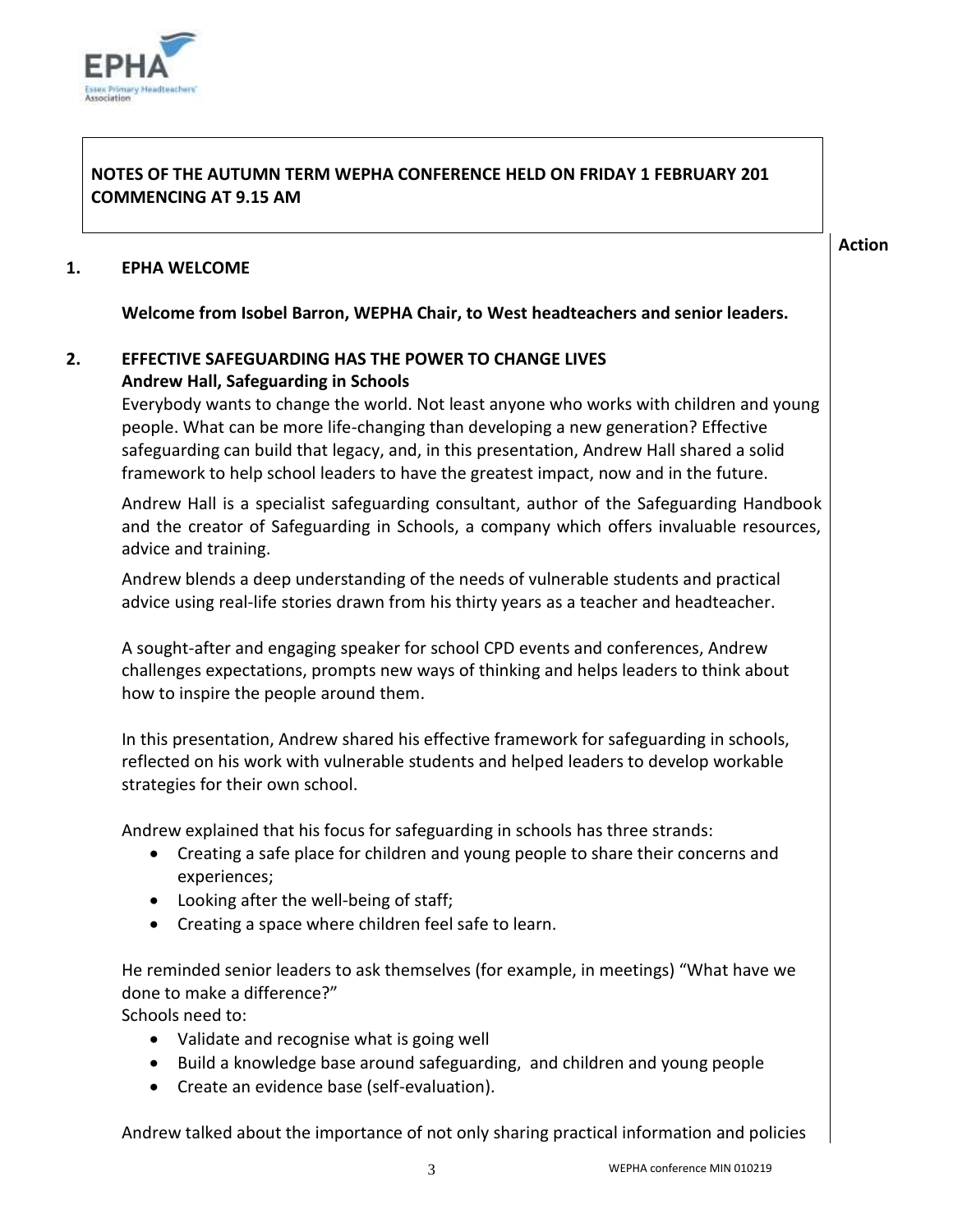

# **NOTES OF THE AUTUMN TERM WEPHA CONFERENCE HELD ON FRIDAY 1 FEBRUARY 201 COMMENCING AT 9.15 AM**

**Action**

# **1. EPHA WELCOME**

**Welcome from Isobel Barron, WEPHA Chair, to West headteachers and senior leaders.**

# **2. EFFECTIVE SAFEGUARDING HAS THE POWER TO CHANGE LIVES Andrew Hall, Safeguarding in Schools**

Everybody wants to change the world. Not least anyone who works with children and young people. What can be more life-changing than developing a new generation? Effective safeguarding can build that legacy, and, in this presentation, Andrew Hall shared a solid framework to help school leaders to have the greatest impact, now and in the future.

Andrew Hall is a specialist safeguarding consultant, author of the Safeguarding Handbook and the creator of Safeguarding in Schools, a company which offers invaluable resources, advice and training.

Andrew blends a deep understanding of the needs of vulnerable students and practical advice using real-life stories drawn from his thirty years as a teacher and headteacher.

A sought-after and engaging speaker for school CPD events and conferences, Andrew challenges expectations, prompts new ways of thinking and helps leaders to think about how to inspire the people around them.

In this presentation, Andrew shared his effective framework for safeguarding in schools, reflected on his work with vulnerable students and helped leaders to develop workable strategies for their own school.

Andrew explained that his focus for safeguarding in schools has three strands:

- Creating a safe place for children and young people to share their concerns and experiences;
- Looking after the well-being of staff;
- Creating a space where children feel safe to learn.

He reminded senior leaders to ask themselves (for example, in meetings) "What have we done to make a difference?"

Schools need to:

- Validate and recognise what is going well
- Build a knowledge base around safeguarding, and children and young people
- Create an evidence base (self-evaluation).

Andrew talked about the importance of not only sharing practical information and policies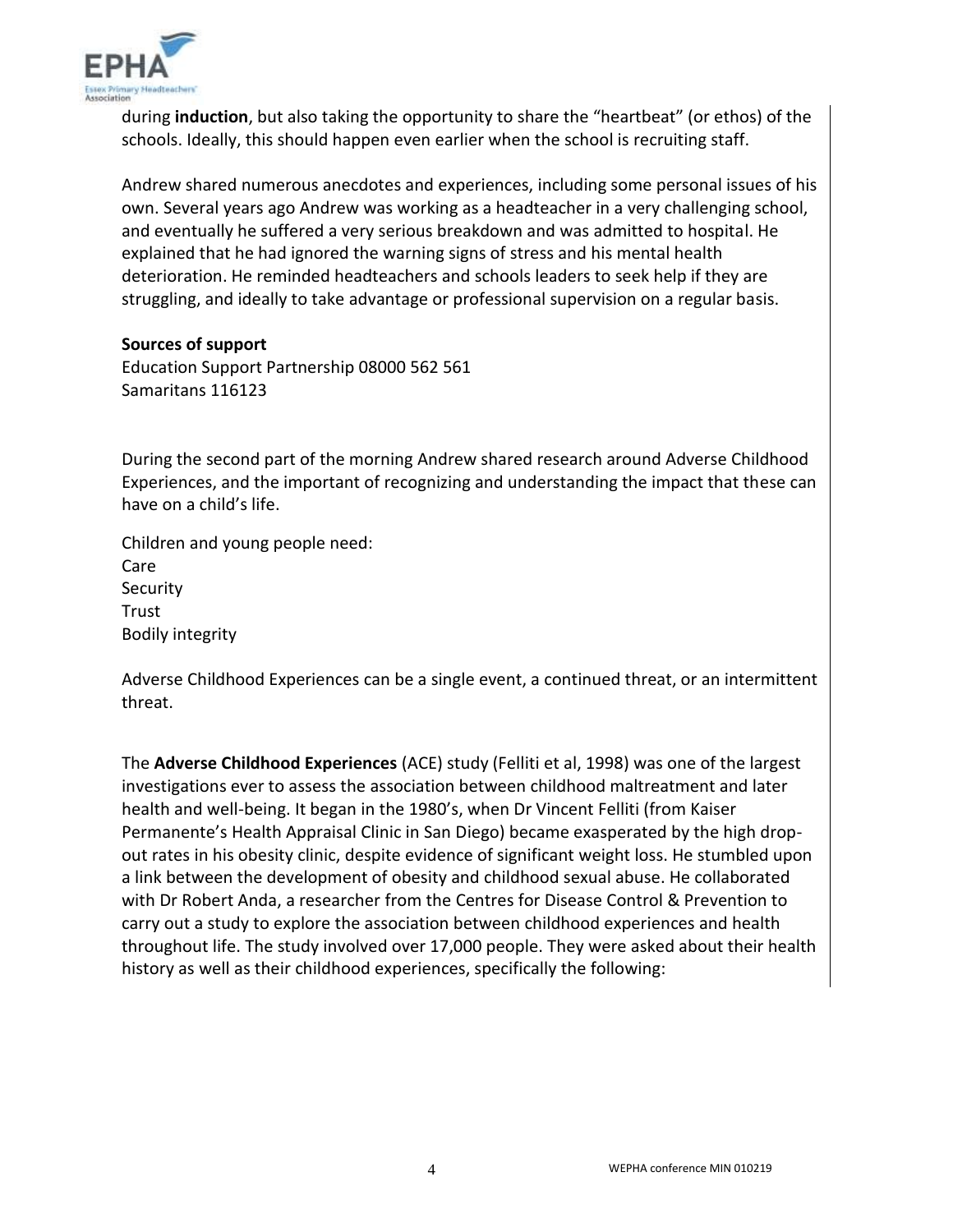

during **induction**, but also taking the opportunity to share the "heartbeat" (or ethos) of the schools. Ideally, this should happen even earlier when the school is recruiting staff.

Andrew shared numerous anecdotes and experiences, including some personal issues of his own. Several years ago Andrew was working as a headteacher in a very challenging school, and eventually he suffered a very serious breakdown and was admitted to hospital. He explained that he had ignored the warning signs of stress and his mental health deterioration. He reminded headteachers and schools leaders to seek help if they are struggling, and ideally to take advantage or professional supervision on a regular basis.

#### **Sources of support**

Education Support Partnership 08000 562 561 Samaritans 116123

During the second part of the morning Andrew shared research around Adverse Childhood Experiences, and the important of recognizing and understanding the impact that these can have on a child's life.

Children and young people need: Care **Security** Trust Bodily integrity

Adverse Childhood Experiences can be a single event, a continued threat, or an intermittent threat.

The **Adverse Childhood Experiences** (ACE) study (Felliti et al, 1998) was one of the largest investigations ever to assess the association between childhood maltreatment and later health and well-being. It began in the 1980's, when Dr Vincent Felliti (from Kaiser Permanente's Health Appraisal Clinic in San Diego) became exasperated by the high dropout rates in his obesity clinic, despite evidence of significant weight loss. He stumbled upon a link between the development of obesity and childhood sexual abuse. He collaborated with Dr Robert Anda, a researcher from the Centres for Disease Control & Prevention to carry out a study to explore the association between childhood experiences and health throughout life. The study involved over 17,000 people. They were asked about their health history as well as their childhood experiences, specifically the following: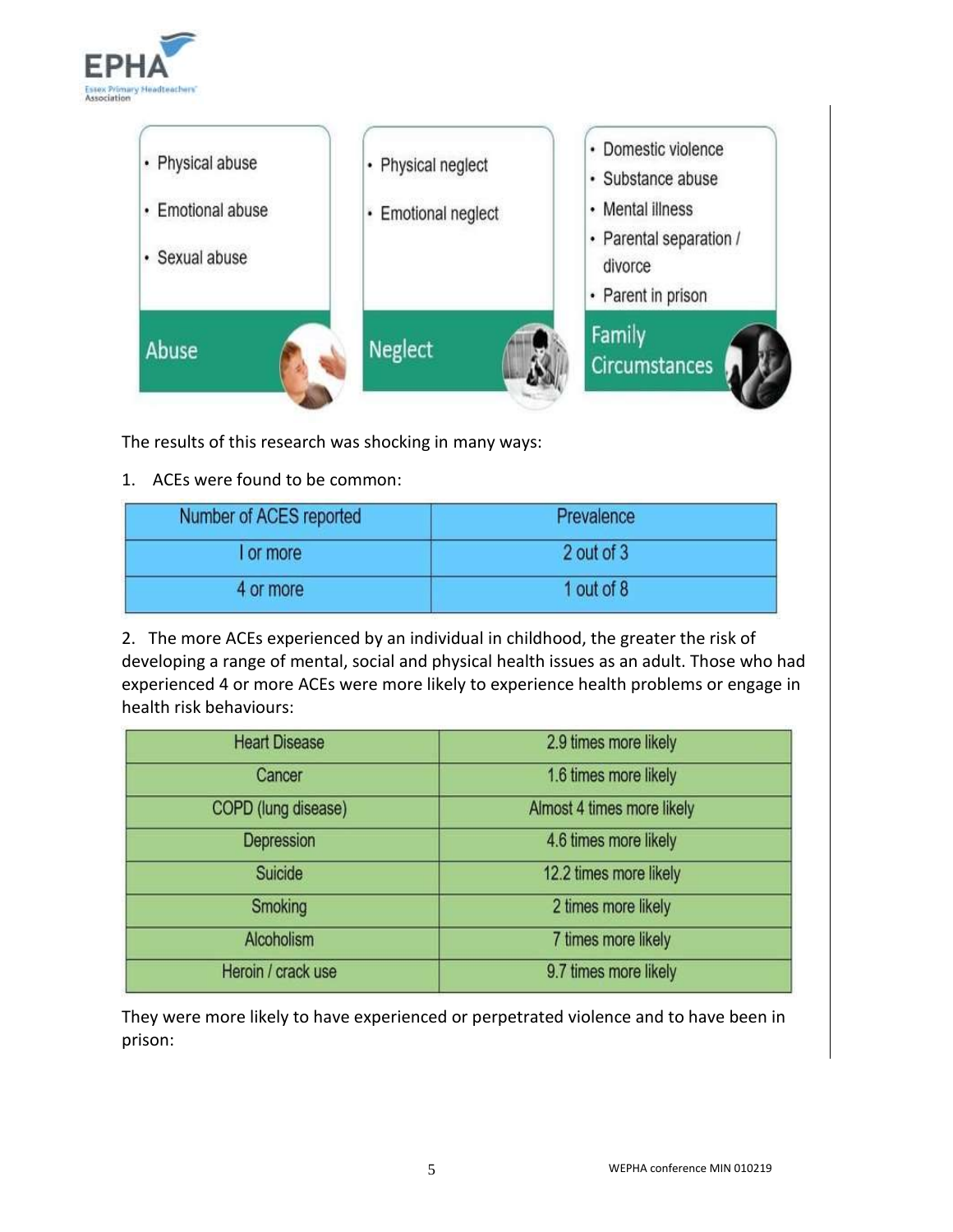



The results of this research was shocking in many ways:

# 1. ACEs were found to be common:

| Number of ACES reported | Prevalence |
|-------------------------|------------|
| I or more               | 2 out of 3 |
| 4 or more               | 1 out of 8 |

2. The more ACEs experienced by an individual in childhood, the greater the risk of developing a range of mental, social and physical health issues as an adult. Those who had experienced 4 or more ACEs were more likely to experience health problems or engage in health risk behaviours:

| 2.9 times more likely      |
|----------------------------|
| 1.6 times more likely      |
| Almost 4 times more likely |
| 4.6 times more likely      |
| 12.2 times more likely     |
| 2 times more likely        |
| 7 times more likely        |
| 9.7 times more likely      |
|                            |

They were more likely to have experienced or perpetrated violence and to have been in prison: